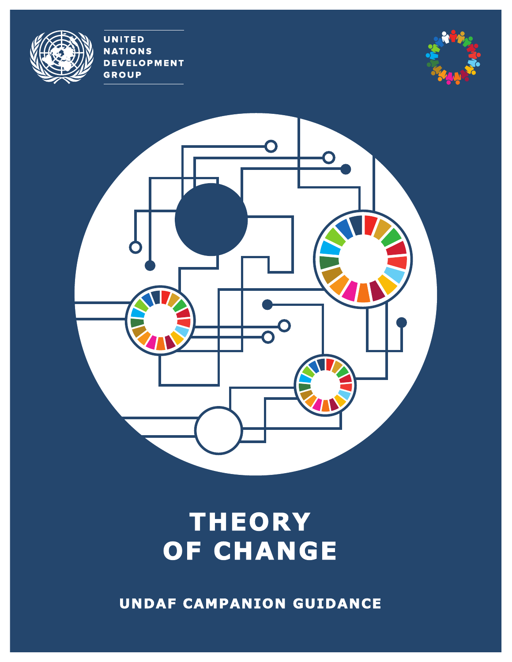**UNITED NATIONS DEVELOPMENT GROUP** 





# **THEORY OF CHANGE**

 **UNDAF CAMPANION GUIDANCE**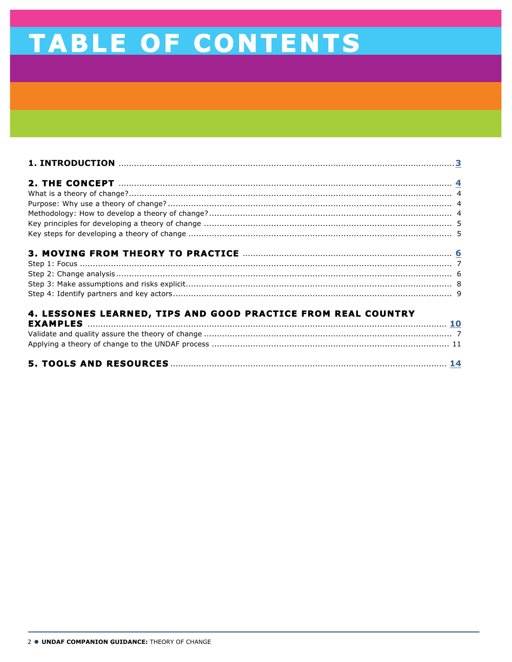# TABLE OF CONTENTS

| 4. LESSONES LEARNED, TIPS AND GOOD PRACTICE FROM REAL COUNTRY      |  |
|--------------------------------------------------------------------|--|
|                                                                    |  |
| Validate and quality assure the theory of change<br>$\overline{z}$ |  |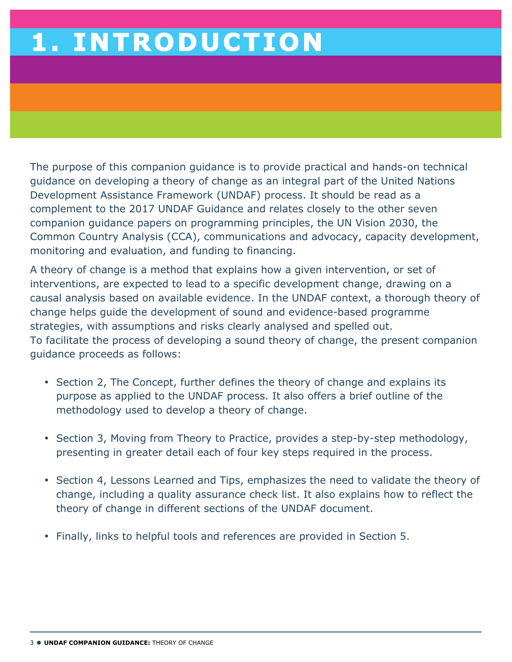# **1. INTRODUCTION**

The purpose of this companion guidance is to provide practical and hands-on technical guidance on developing a theory of change as an integral part of the United Nations Development Assistance Framework (UNDAF) process. It should be read as a complement to the 2017 UNDAF Guidance and relates closely to the other seven companion guidance papers on programming principles, the UN Vision 2030, the Common Country Analysis (CCA), communications and advocacy, capacity development, monitoring and evaluation, and funding to financing.

A theory of change is a method that explains how a given intervention, or set of interventions, are expected to lead to a specific development change, drawing on a causal analysis based on available evidence. In the UNDAF context, a thorough theory of change helps guide the development of sound and evidence-based programme strategies, with assumptions and risks clearly analysed and spelled out. To facilitate the process of developing a sound theory of change, the present companion guidance proceeds as follows:

- Section 2, The Concept, further defines the theory of change and explains its purpose as applied to the UNDAF process. It also offers a brief outline of the methodology used to develop a theory of change.
- Section 3, Moving from Theory to Practice, provides a step-by-step methodology, presenting in greater detail each of four key steps required in the process.
- Section 4, Lessons Learned and Tips, emphasizes the need to validate the theory of change, including a quality assurance check list. It also explains how to reflect the theory of change in different sections of the UNDAF document.
- Finally, links to helpful tools and references are provided in Section 5.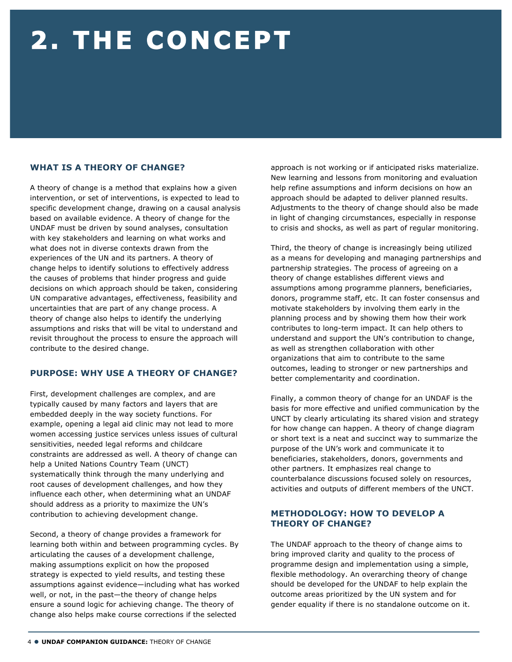# **2. THE CONCEPT**

## **WHAT IS A THEORY OF CHANGE?**

A theory of change is a method that explains how a given intervention, or set of interventions, is expected to lead to specific development change, drawing on a causal analysis based on available evidence. A theory of change for the UNDAF must be driven by sound analyses, consultation with key stakeholders and learning on what works and what does not in diverse contexts drawn from the experiences of the UN and its partners. A theory of change helps to identify solutions to effectively address the causes of problems that hinder progress and guide decisions on which approach should be taken, considering UN comparative advantages, effectiveness, feasibility and uncertainties that are part of any change process. A theory of change also helps to identify the underlying assumptions and risks that will be vital to understand and revisit throughout the process to ensure the approach will contribute to the desired change.

### **PURPOSE: WHY USE A THEORY OF CHANGE?**

First, development challenges are complex, and are typically caused by many factors and layers that are embedded deeply in the way society functions. For example, opening a legal aid clinic may not lead to more women accessing justice services unless issues of cultural sensitivities, needed legal reforms and childcare constraints are addressed as well. A theory of change can help a United Nations Country Team (UNCT) systematically think through the many underlying and root causes of development challenges, and how they influence each other, when determining what an UNDAF should address as a priority to maximize the UN's contribution to achieving development change.

Second, a theory of change provides a framework for learning both within and between programming cycles. By articulating the causes of a development challenge, making assumptions explicit on how the proposed strategy is expected to yield results, and testing these assumptions against evidence—including what has worked well, or not, in the past—the theory of change helps ensure a sound logic for achieving change. The theory of change also helps make course corrections if the selected

approach is not working or if anticipated risks materialize. New learning and lessons from monitoring and evaluation help refine assumptions and inform decisions on how an approach should be adapted to deliver planned results. Adjustments to the theory of change should also be made in light of changing circumstances, especially in response to crisis and shocks, as well as part of regular monitoring.

Third, the theory of change is increasingly being utilized as a means for developing and managing partnerships and partnership strategies. The process of agreeing on a theory of change establishes different views and assumptions among programme planners, beneficiaries, donors, programme staff, etc. It can foster consensus and motivate stakeholders by involving them early in the planning process and by showing them how their work contributes to long-term impact. It can help others to understand and support the UN's contribution to change, as well as strengthen collaboration with other organizations that aim to contribute to the same outcomes, leading to stronger or new partnerships and better complementarity and coordination.

Finally, a common theory of change for an UNDAF is the basis for more effective and unified communication by the UNCT by clearly articulating its shared vision and strategy for how change can happen. A theory of change diagram or short text is a neat and succinct way to summarize the purpose of the UN's work and communicate it to beneficiaries, stakeholders, donors, governments and other partners. It emphasizes real change to counterbalance discussions focused solely on resources, activities and outputs of different members of the UNCT.

### **METHODOLOGY: HOW TO DEVELOP A THEORY OF CHANGE?**

The UNDAF approach to the theory of change aims to bring improved clarity and quality to the process of programme design and implementation using a simple, flexible methodology. An overarching theory of change should be developed for the UNDAF to help explain the outcome areas prioritized by the UN system and for gender equality if there is no standalone outcome on it.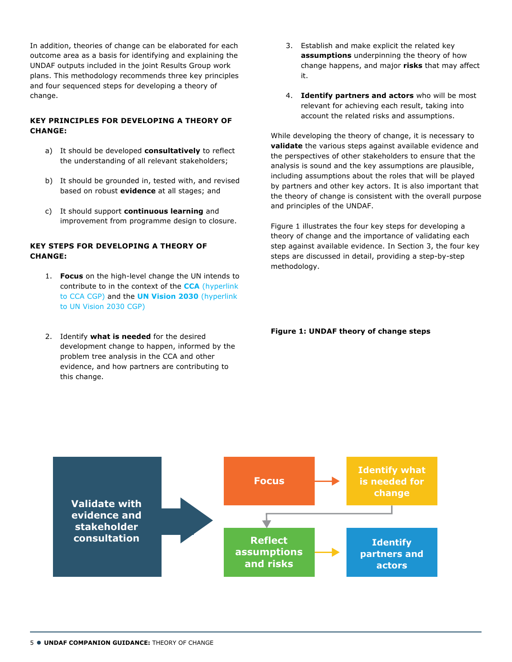In addition, theories of change can be elaborated for each outcome area as a basis for identifying and explaining the UNDAF outputs included in the joint Results Group work plans. This methodology recommends three key principles and four sequenced steps for developing a theory of change.

### **KEY PRINCIPLES FOR DEVELOPING A THEORY OF CHANGE:**

- a) It should be developed **consultatively** to reflect the understanding of all relevant stakeholders;
- b) It should be grounded in, tested with, and revised based on robust **evidence** at all stages; and
- c) It should support **continuous learning** and improvement from programme design to closure.

### **KEY STEPS FOR DEVELOPING A THEORY OF CHANGE:**

- 1. **Focus** on the high-level change the UN intends to contribute to in the context of the **CCA** (hyperlink to CCA CGP) and the **UN Vision 2030** (hyperlink to UN Vision 2030 CGP)
- 2. Identify **what is needed** for the desired development change to happen, informed by the problem tree analysis in the CCA and other evidence, and how partners are contributing to this change.
- 3. Establish and make explicit the related key **assumptions** underpinning the theory of how change happens, and major **risks** that may affect it.
- 4. **Identify partners and actors** who will be most relevant for achieving each result, taking into account the related risks and assumptions.

While developing the theory of change, it is necessary to **validate** the various steps against available evidence and the perspectives of other stakeholders to ensure that the analysis is sound and the key assumptions are plausible, including assumptions about the roles that will be played by partners and other key actors. It is also important that the theory of change is consistent with the overall purpose and principles of the UNDAF.

Figure 1 illustrates the four key steps for developing a theory of change and the importance of validating each step against available evidence. In Section 3, the four key steps are discussed in detail, providing a step-by-step methodology.

#### **Figure 1: UNDAF theory of change steps**

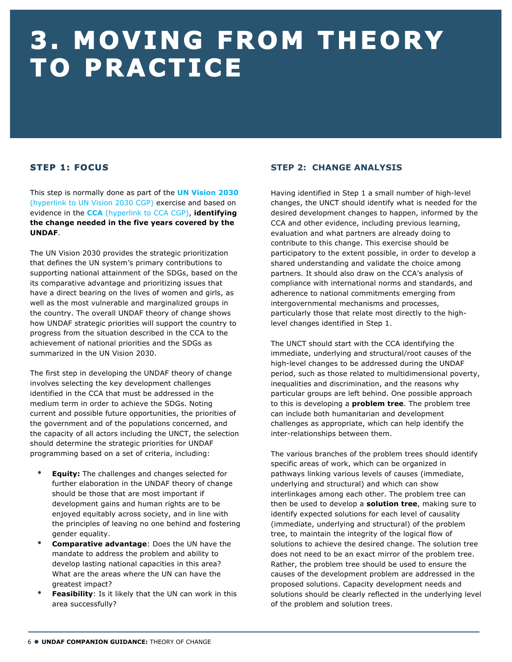# **3. MOVING FROM THEORY TO PRACTICE**

# **STEP 1: FOCUS**

This step is normally done as part of the **UN Vision 2030** (hyperlink to UN Vision 2030 CGP) exercise and based on evidence in the **CCA** (hyperlink to CCA CGP), **identifying the change needed in the five years covered by the UNDAF**.

The UN Vision 2030 provides the strategic prioritization that defines the UN system's primary contributions to supporting national attainment of the SDGs, based on the its comparative advantage and prioritizing issues that have a direct bearing on the lives of women and girls, as well as the most vulnerable and marginalized groups in the country. The overall UNDAF theory of change shows how UNDAF strategic priorities will support the country to progress from the situation described in the CCA to the achievement of national priorities and the SDGs as summarized in the UN Vision 2030.

The first step in developing the UNDAF theory of change involves selecting the key development challenges identified in the CCA that must be addressed in the medium term in order to achieve the SDGs. Noting current and possible future opportunities, the priorities of the government and of the populations concerned, and the capacity of all actors including the UNCT, the selection should determine the strategic priorities for UNDAF programming based on a set of criteria, including:

- **Equity:** The challenges and changes selected for further elaboration in the UNDAF theory of change should be those that are most important if development gains and human rights are to be enjoyed equitably across society, and in line with the principles of leaving no one behind and fostering gender equality.
- **Comparative advantage**: Does the UN have the mandate to address the problem and ability to develop lasting national capacities in this area? What are the areas where the UN can have the greatest impact?
- **Feasibility**: Is it likely that the UN can work in this area successfully?

# **STEP 2: CHANGE ANALYSIS**

Having identified in Step 1 a small number of high-level changes, the UNCT should identify what is needed for the desired development changes to happen, informed by the CCA and other evidence, including previous learning, evaluation and what partners are already doing to contribute to this change. This exercise should be participatory to the extent possible, in order to develop a shared understanding and validate the choice among partners. It should also draw on the CCA's analysis of compliance with international norms and standards, and adherence to national commitments emerging from intergovernmental mechanisms and processes, particularly those that relate most directly to the highlevel changes identified in Step 1.

The UNCT should start with the CCA identifying the immediate, underlying and structural/root causes of the high-level changes to be addressed during the UNDAF period, such as those related to multidimensional poverty, inequalities and discrimination, and the reasons why particular groups are left behind. One possible approach to this is developing a **problem tree**. The problem tree can include both humanitarian and development challenges as appropriate, which can help identify the inter-relationships between them.

The various branches of the problem trees should identify specific areas of work, which can be organized in pathways linking various levels of causes (immediate, underlying and structural) and which can show interlinkages among each other. The problem tree can then be used to develop a **solution tree**, making sure to identify expected solutions for each level of causality (immediate, underlying and structural) of the problem tree, to maintain the integrity of the logical flow of solutions to achieve the desired change. The solution tree does not need to be an exact mirror of the problem tree. Rather, the problem tree should be used to ensure the causes of the development problem are addressed in the proposed solutions. Capacity development needs and solutions should be clearly reflected in the underlying level of the problem and solution trees.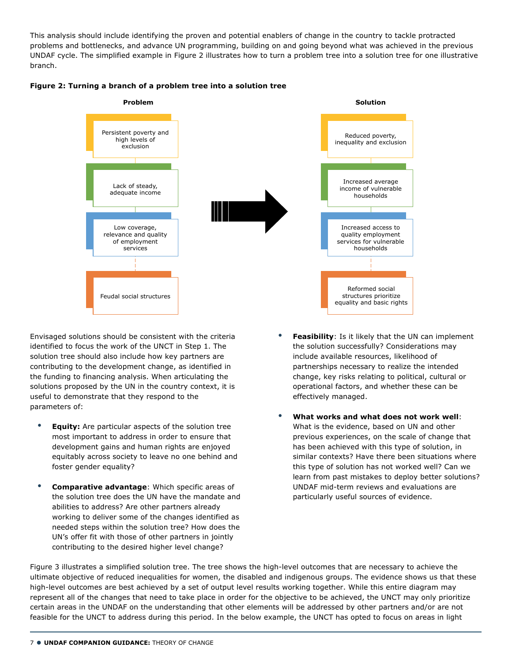This analysis should include identifying the proven and potential enablers of change in the country to tackle protracted problems and bottlenecks, and advance UN programming, building on and going beyond what was achieved in the previous UNDAF cycle. The simplified example in Figure 2 illustrates how to turn a problem tree into a solution tree for one illustrative branch.



#### **Figure 2: Turning a branch of a problem tree into a solution tree**

Envisaged solutions should be consistent with the criteria identified to focus the work of the UNCT in Step 1. The solution tree should also include how key partners are contributing to the development change, as identified in the funding to financing analysis. When articulating the solutions proposed by the UN in the country context, it is useful to demonstrate that they respond to the parameters of:

- **Equity:** Are particular aspects of the solution tree most important to address in order to ensure that development gains and human rights are enjoyed equitably across society to leave no one behind and foster gender equality?
- **Comparative advantage**: Which specific areas of the solution tree does the UN have the mandate and abilities to address? Are other partners already working to deliver some of the changes identified as needed steps within the solution tree? How does the UN's offer fit with those of other partners in jointly contributing to the desired higher level change?
- **Feasibility:** Is it likely that the UN can implement the solution successfully? Considerations may include available resources, likelihood of partnerships necessary to realize the intended change, key risks relating to political, cultural or operational factors, and whether these can be effectively managed.
- **What works and what does not work well**: What is the evidence, based on UN and other previous experiences, on the scale of change that has been achieved with this type of solution, in similar contexts? Have there been situations where this type of solution has not worked well? Can we learn from past mistakes to deploy better solutions? UNDAF mid-term reviews and evaluations are particularly useful sources of evidence.

Figure 3 illustrates a simplified solution tree. The tree shows the high-level outcomes that are necessary to achieve the ultimate objective of reduced inequalities for women, the disabled and indigenous groups. The evidence shows us that these high-level outcomes are best achieved by a set of output level results working together. While this entire diagram may represent all of the changes that need to take place in order for the objective to be achieved, the UNCT may only prioritize certain areas in the UNDAF on the understanding that other elements will be addressed by other partners and/or are not feasible for the UNCT to address during this period. In the below example, the UNCT has opted to focus on areas in light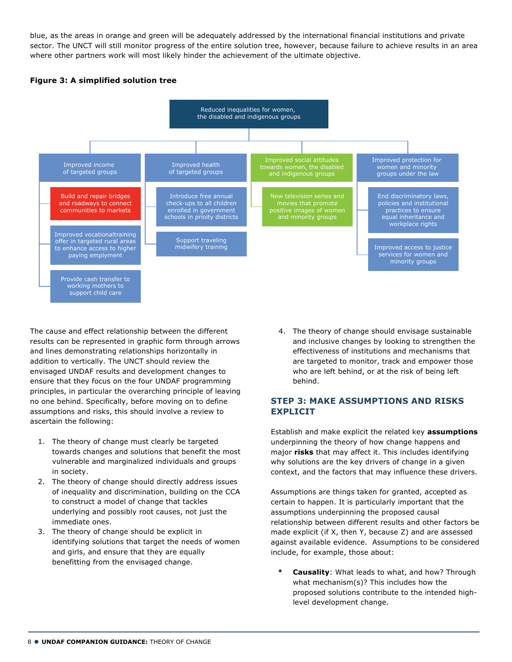blue, as the areas in orange and green will be adequately addressed by the international financial institutions and private sector. The UNCT will still monitor progress of the entire solution tree, however, because failure to achieve results in an area where other partners work will most likely hinder the achievement of the ultimate objective.

### **Figure 3: A simplified solution tree**



The cause and effect relationship between the different results can be represented in graphic form through arrows and lines demonstrating relationships horizontally in addition to vertically. The UNCT should review the envisaged UNDAF results and development changes to ensure that they focus on the four UNDAF programming principles, in particular the overarching principle of leaving no one behind. Specifically, before moving on to define assumptions and risks, this should involve a review to ascertain the following:

- 1. The theory of change must clearly be targeted towards changes and solutions that benefit the most vulnerable and marginalized individuals and groups in society.
- 2. The theory of change should directly address issues of inequality and discrimination, building on the CCA to construct a model of change that tackles underlying and possibly root causes, not just the immediate ones.
- 3. The theory of change should be explicit in identifying solutions that target the needs of women and girls, and ensure that they are equally benefitting from the envisaged change.

4. The theory of change should envisage sustainable and inclusive changes by looking to strengthen the effectiveness of institutions and mechanisms that are targeted to monitor, track and empower those who are left behind, or at the risk of being left behind.

### **STEP 3: MAKE ASSUMPTIONS AND RISKS EXPLICIT**

Establish and make explicit the related key **assumptions** underpinning the theory of how change happens and major **risks** that may affect it. This includes identifying why solutions are the key drivers of change in a given context, and the factors that may influence these drivers.

Assumptions are things taken for granted, accepted as certain to happen. It is particularly important that the assumptions underpinning the proposed causal relationship between different results and other factors be made explicit (if X, then Y, because Z) and are assessed against available evidence. Assumptions to be considered include, for example, those about:

• **Causality**: What leads to what, and how? Through what mechanism(s)? This includes how the proposed solutions contribute to the intended highlevel development change.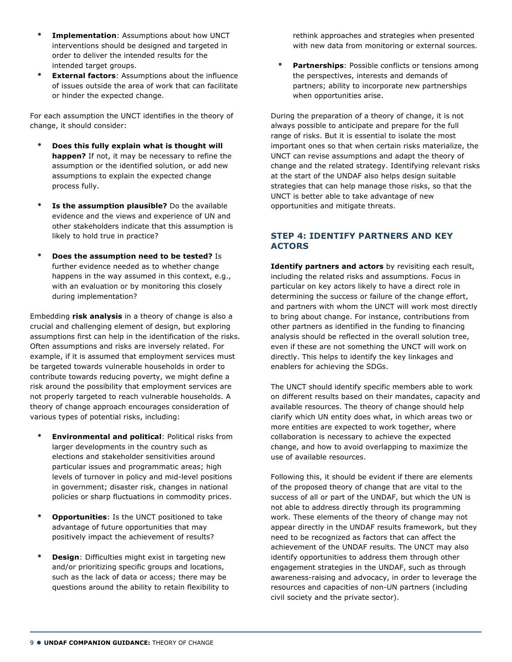- **Implementation**: Assumptions about how UNCT interventions should be designed and targeted in order to deliver the intended results for the intended target groups.
- **External factors**: Assumptions about the influence of issues outside the area of work that can facilitate or hinder the expected change.

For each assumption the UNCT identifies in the theory of change, it should consider:

- **Does this fully explain what is thought will happen?** If not, it may be necessary to refine the assumption or the identified solution, or add new assumptions to explain the expected change process fully.
- **Is the assumption plausible?** Do the available evidence and the views and experience of UN and other stakeholders indicate that this assumption is likely to hold true in practice?
- **Does the assumption need to be tested?** Is further evidence needed as to whether change happens in the way assumed in this context, e.g., with an evaluation or by monitoring this closely during implementation?

Embedding **risk analysis** in a theory of change is also a crucial and challenging element of design, but exploring assumptions first can help in the identification of the risks. Often assumptions and risks are inversely related. For example, if it is assumed that employment services must be targeted towards vulnerable households in order to contribute towards reducing poverty, we might define a risk around the possibility that employment services are not properly targeted to reach vulnerable households. A theory of change approach encourages consideration of various types of potential risks, including:

- **Environmental and political**: Political risks from larger developments in the country such as elections and stakeholder sensitivities around particular issues and programmatic areas; high levels of turnover in policy and mid-level positions in government; disaster risk, changes in national policies or sharp fluctuations in commodity prices.
- **Opportunities**: Is the UNCT positioned to take advantage of future opportunities that may positively impact the achievement of results?
- **Design:** Difficulties might exist in targeting new and/or prioritizing specific groups and locations, such as the lack of data or access; there may be questions around the ability to retain flexibility to

rethink approaches and strategies when presented with new data from monitoring or external sources.

**Partnerships:** Possible conflicts or tensions among the perspectives, interests and demands of partners; ability to incorporate new partnerships when opportunities arise.

During the preparation of a theory of change, it is not always possible to anticipate and prepare for the full range of risks. But it is essential to isolate the most important ones so that when certain risks materialize, the UNCT can revise assumptions and adapt the theory of change and the related strategy. Identifying relevant risks at the start of the UNDAF also helps design suitable strategies that can help manage those risks, so that the UNCT is better able to take advantage of new opportunities and mitigate threats.

### **STEP 4: IDENTIFY PARTNERS AND KEY ACTORS**

**Identify partners and actors** by revisiting each result, including the related risks and assumptions. Focus in particular on key actors likely to have a direct role in determining the success or failure of the change effort, and partners with whom the UNCT will work most directly to bring about change. For instance, contributions from other partners as identified in the funding to financing analysis should be reflected in the overall solution tree, even if these are not something the UNCT will work on directly. This helps to identify the key linkages and enablers for achieving the SDGs.

The UNCT should identify specific members able to work on different results based on their mandates, capacity and available resources. The theory of change should help clarify which UN entity does what, in which areas two or more entities are expected to work together, where collaboration is necessary to achieve the expected change, and how to avoid overlapping to maximize the use of available resources.

Following this, it should be evident if there are elements of the proposed theory of change that are vital to the success of all or part of the UNDAF, but which the UN is not able to address directly through its programming work. These elements of the theory of change may not appear directly in the UNDAF results framework, but they need to be recognized as factors that can affect the achievement of the UNDAF results. The UNCT may also identify opportunities to address them through other engagement strategies in the UNDAF, such as through awareness-raising and advocacy, in order to leverage the resources and capacities of non-UN partners (including civil society and the private sector).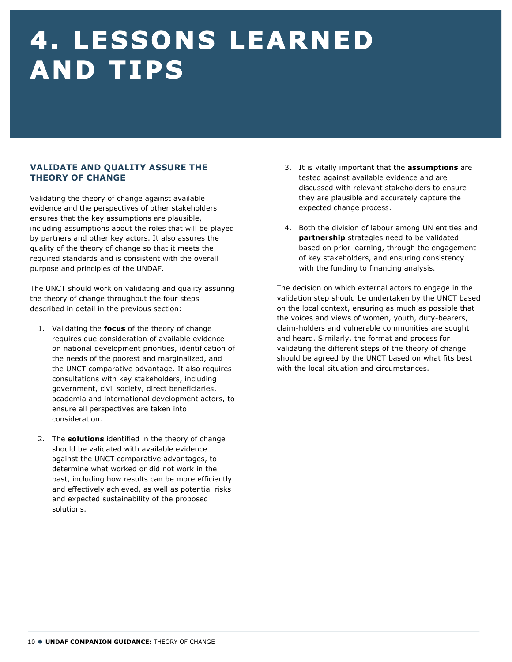# **4. LESSONS LEARNED AND TIPS**

## **VALIDATE AND QUALITY ASSURE THE THEORY OF CHANGE**

Validating the theory of change against available evidence and the perspectives of other stakeholders ensures that the key assumptions are plausible, including assumptions about the roles that will be played by partners and other key actors. It also assures the quality of the theory of change so that it meets the required standards and is consistent with the overall purpose and principles of the UNDAF.

The UNCT should work on validating and quality assuring the theory of change throughout the four steps described in detail in the previous section:

- 1. Validating the **focus** of the theory of change requires due consideration of available evidence on national development priorities, identification of the needs of the poorest and marginalized, and the UNCT comparative advantage. It also requires consultations with key stakeholders, including government, civil society, direct beneficiaries, academia and international development actors, to ensure all perspectives are taken into consideration.
- 2. The **solutions** identified in the theory of change should be validated with available evidence against the UNCT comparative advantages, to determine what worked or did not work in the past, including how results can be more efficiently and effectively achieved, as well as potential risks and expected sustainability of the proposed solutions.
- 3. It is vitally important that the **assumptions** are tested against available evidence and are discussed with relevant stakeholders to ensure they are plausible and accurately capture the expected change process.
- 4. Both the division of labour among UN entities and **partnership** strategies need to be validated based on prior learning, through the engagement of key stakeholders, and ensuring consistency with the funding to financing analysis.

The decision on which external actors to engage in the validation step should be undertaken by the UNCT based on the local context, ensuring as much as possible that the voices and views of women, youth, duty-bearers, claim-holders and vulnerable communities are sought and heard. Similarly, the format and process for validating the different steps of the theory of change should be agreed by the UNCT based on what fits best with the local situation and circumstances.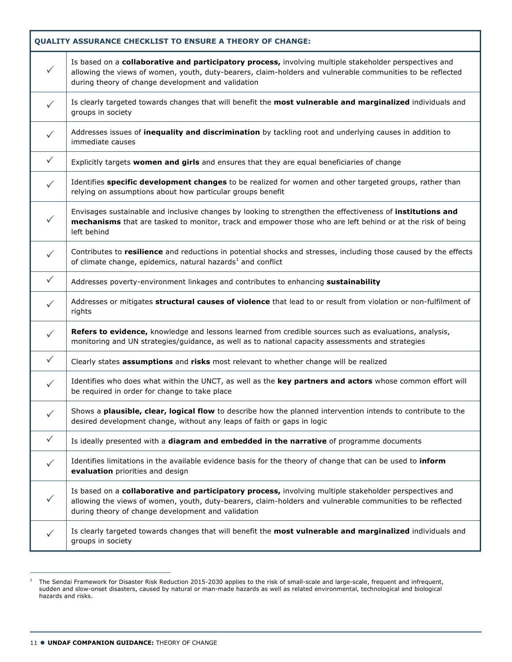| <b>QUALITY ASSURANCE CHECKLIST TO ENSURE A THEORY OF CHANGE:</b> |                                                                                                                                                                                                                                                                            |  |
|------------------------------------------------------------------|----------------------------------------------------------------------------------------------------------------------------------------------------------------------------------------------------------------------------------------------------------------------------|--|
| $\checkmark$                                                     | Is based on a collaborative and participatory process, involving multiple stakeholder perspectives and<br>allowing the views of women, youth, duty-bearers, claim-holders and vulnerable communities to be reflected<br>during theory of change development and validation |  |
| $\checkmark$                                                     | Is clearly targeted towards changes that will benefit the most vulnerable and marginalized individuals and<br>groups in society                                                                                                                                            |  |
| $\checkmark$                                                     | Addresses issues of inequality and discrimination by tackling root and underlying causes in addition to<br>immediate causes                                                                                                                                                |  |
| $\checkmark$                                                     | Explicitly targets women and girls and ensures that they are equal beneficiaries of change                                                                                                                                                                                 |  |
| $\checkmark$                                                     | Identifies specific development changes to be realized for women and other targeted groups, rather than<br>relying on assumptions about how particular groups benefit                                                                                                      |  |
| $\checkmark$                                                     | Envisages sustainable and inclusive changes by looking to strengthen the effectiveness of institutions and<br>mechanisms that are tasked to monitor, track and empower those who are left behind or at the risk of being<br>left behind                                    |  |
| $\checkmark$                                                     | Contributes to resilience and reductions in potential shocks and stresses, including those caused by the effects<br>of climate change, epidemics, natural hazards <sup>1</sup> and conflict                                                                                |  |
| $\checkmark$                                                     | Addresses poverty-environment linkages and contributes to enhancing sustainability                                                                                                                                                                                         |  |
| $\checkmark$                                                     | Addresses or mitigates structural causes of violence that lead to or result from violation or non-fulfilment of<br>rights                                                                                                                                                  |  |
| $\checkmark$                                                     | Refers to evidence, knowledge and lessons learned from credible sources such as evaluations, analysis,<br>monitoring and UN strategies/guidance, as well as to national capacity assessments and strategies                                                                |  |
| $\checkmark$                                                     | Clearly states assumptions and risks most relevant to whether change will be realized                                                                                                                                                                                      |  |
| ✓                                                                | Identifies who does what within the UNCT, as well as the key partners and actors whose common effort will<br>be required in order for change to take place                                                                                                                 |  |
| $\checkmark$                                                     | Shows a plausible, clear, logical flow to describe how the planned intervention intends to contribute to the<br>desired development change, without any leaps of faith or gaps in logic                                                                                    |  |
| $\checkmark$                                                     | Is ideally presented with a diagram and embedded in the narrative of programme documents                                                                                                                                                                                   |  |
| $\checkmark$                                                     | Identifies limitations in the available evidence basis for the theory of change that can be used to inform<br>evaluation priorities and design                                                                                                                             |  |
| $\checkmark$                                                     | Is based on a collaborative and participatory process, involving multiple stakeholder perspectives and<br>allowing the views of women, youth, duty-bearers, claim-holders and vulnerable communities to be reflected<br>during theory of change development and validation |  |
| $\checkmark$                                                     | Is clearly targeted towards changes that will benefit the most vulnerable and marginalized individuals and<br>groups in society                                                                                                                                            |  |

 $1$  The Sendai Framework for Disaster Risk Reduction 2015-2030 applies to the risk of small-scale and large-scale, frequent and infrequent, sudden and slow-onset disasters, caused by natural or man-made hazards as well as related environmental, technological and biological hazards and risks.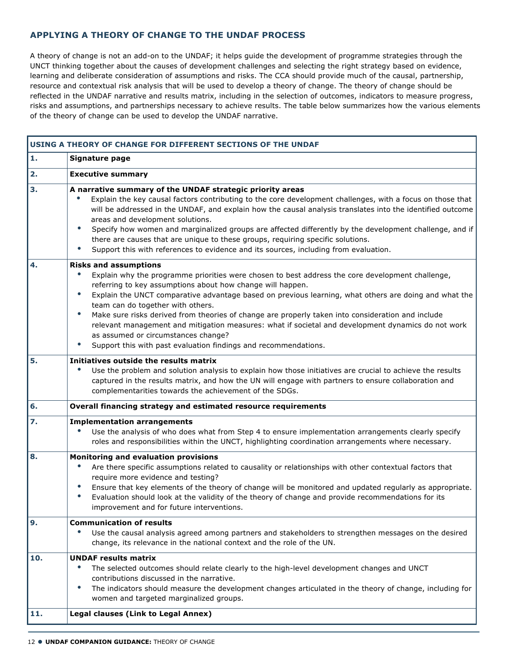## **APPLYING A THEORY OF CHANGE TO THE UNDAF PROCESS**

A theory of change is not an add-on to the UNDAF; it helps guide the development of programme strategies through the UNCT thinking together about the causes of development challenges and selecting the right strategy based on evidence, learning and deliberate consideration of assumptions and risks. The CCA should provide much of the causal, partnership, resource and contextual risk analysis that will be used to develop a theory of change. The theory of change should be reflected in the UNDAF narrative and results matrix, including in the selection of outcomes, indicators to measure progress, risks and assumptions, and partnerships necessary to achieve results. The table below summarizes how the various elements of the theory of change can be used to develop the UNDAF narrative.

|     | USING A THEORY OF CHANGE FOR DIFFERENT SECTIONS OF THE UNDAF                                                                                                                                                                                                                                                                                                                                                                                                                                                                                                                                                                                                                                             |
|-----|----------------------------------------------------------------------------------------------------------------------------------------------------------------------------------------------------------------------------------------------------------------------------------------------------------------------------------------------------------------------------------------------------------------------------------------------------------------------------------------------------------------------------------------------------------------------------------------------------------------------------------------------------------------------------------------------------------|
| 1.  | Signature page                                                                                                                                                                                                                                                                                                                                                                                                                                                                                                                                                                                                                                                                                           |
| 2.  | <b>Executive summary</b>                                                                                                                                                                                                                                                                                                                                                                                                                                                                                                                                                                                                                                                                                 |
| 3.  | A narrative summary of the UNDAF strategic priority areas<br>Explain the key causal factors contributing to the core development challenges, with a focus on those that<br>will be addressed in the UNDAF, and explain how the causal analysis translates into the identified outcome<br>areas and development solutions.<br>$\bullet$<br>Specify how women and marginalized groups are affected differently by the development challenge, and if<br>there are causes that are unique to these groups, requiring specific solutions.<br>Support this with references to evidence and its sources, including from evaluation.<br>$\bullet$                                                                |
| 4.  | <b>Risks and assumptions</b><br>Explain why the programme priorities were chosen to best address the core development challenge,<br>referring to key assumptions about how change will happen.<br>$\bullet$<br>Explain the UNCT comparative advantage based on previous learning, what others are doing and what the<br>team can do together with others.<br>$\bullet$<br>Make sure risks derived from theories of change are properly taken into consideration and include<br>relevant management and mitigation measures: what if societal and development dynamics do not work<br>as assumed or circumstances change?<br>Support this with past evaluation findings and recommendations.<br>$\bullet$ |
| 5.  | Initiatives outside the results matrix<br>Use the problem and solution analysis to explain how those initiatives are crucial to achieve the results<br>captured in the results matrix, and how the UN will engage with partners to ensure collaboration and<br>complementarities towards the achievement of the SDGs.                                                                                                                                                                                                                                                                                                                                                                                    |
| 6.  | Overall financing strategy and estimated resource requirements                                                                                                                                                                                                                                                                                                                                                                                                                                                                                                                                                                                                                                           |
| 7.  | <b>Implementation arrangements</b><br>Use the analysis of who does what from Step 4 to ensure implementation arrangements clearly specify<br>roles and responsibilities within the UNCT, highlighting coordination arrangements where necessary.                                                                                                                                                                                                                                                                                                                                                                                                                                                         |
| 8.  | <b>Monitoring and evaluation provisions</b><br>Are there specific assumptions related to causality or relationships with other contextual factors that<br>require more evidence and testing?<br>Ensure that key elements of the theory of change will be monitored and updated regularly as appropriate.<br>$\bullet$<br>Evaluation should look at the validity of the theory of change and provide recommendations for its<br>improvement and for future interventions.                                                                                                                                                                                                                                 |
| 9.  | <b>Communication of results</b><br>Use the causal analysis agreed among partners and stakeholders to strengthen messages on the desired<br>change, its relevance in the national context and the role of the UN.                                                                                                                                                                                                                                                                                                                                                                                                                                                                                         |
| 10. | <b>UNDAF results matrix</b><br>The selected outcomes should relate clearly to the high-level development changes and UNCT<br>contributions discussed in the narrative.<br>The indicators should measure the development changes articulated in the theory of change, including for<br>$\bullet$<br>women and targeted marginalized groups.                                                                                                                                                                                                                                                                                                                                                               |
| 11. | Legal clauses (Link to Legal Annex)                                                                                                                                                                                                                                                                                                                                                                                                                                                                                                                                                                                                                                                                      |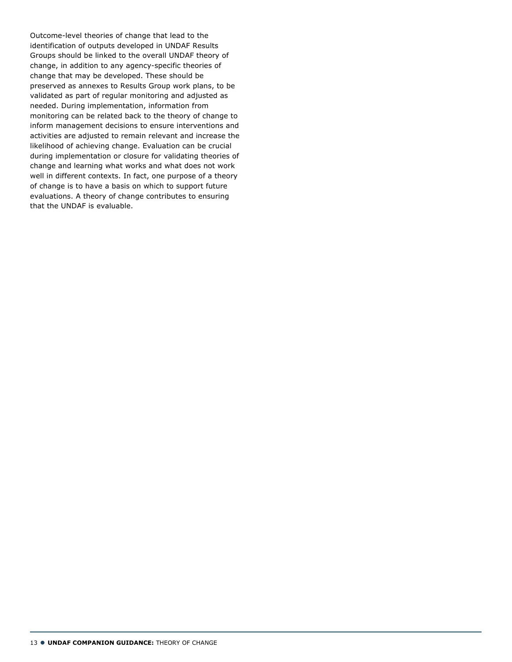Outcome-level theories of change that lead to the identification of outputs developed in UNDAF Results Groups should be linked to the overall UNDAF theory of change, in addition to any agency-specific theories of change that may be developed. These should be preserved as annexes to Results Group work plans, to be validated as part of regular monitoring and adjusted as needed. During implementation, information from monitoring can be related back to the theory of change to inform management decisions to ensure interventions and activities are adjusted to remain relevant and increase the likelihood of achieving change. Evaluation can be crucial during implementation or closure for validating theories of change and learning what works and what does not work well in different contexts. In fact, one purpose of a theory of change is to have a basis on which to support future evaluations. A theory of change contributes to ensuring that the UNDAF is evaluable.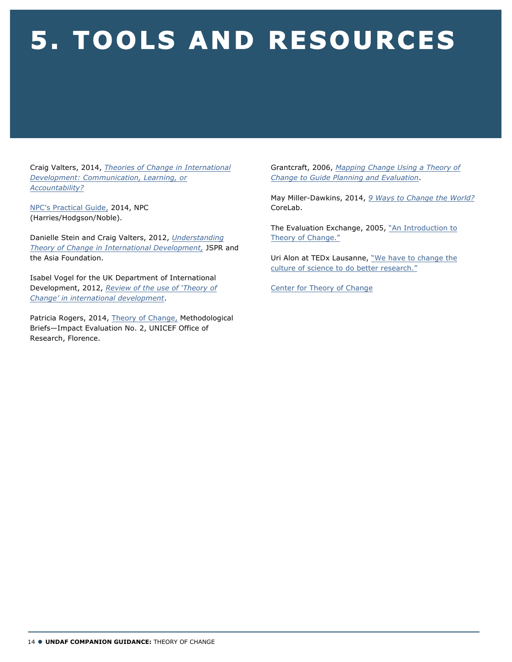# **5. TOOLS AND RESOURCES**

Craig Valters, 2014, *Theories of Change in International Development: Communication, Learning, or Accountability?*

NPC's Practical Guide, 2014, NPC (Harries/Hodgson/Noble).

Danielle Stein and Craig Valters, 2012, *Understanding Theory of Change in International Development,* JSPR and the Asia Foundation.

Isabel Vogel for the UK Department of International Development, 2012, *Review of the use of 'Theory of Change' in international development*.

Patricia Rogers, 2014, Theory of Change, Methodological Briefs—Impact Evaluation No. 2, UNICEF Office of Research, Florence.

Grantcraft, 2006, *Mapping Change Using a Theory of Change to Guide Planning and Evaluation*.

May Miller-Dawkins, 2014, *9 Ways to Change the World?* CoreLab.

The Evaluation Exchange, 2005, "An Introduction to Theory of Change."

Uri Alon at TEDx Lausanne, "We have to change the culture of science to do better research."

Center for Theory of Change